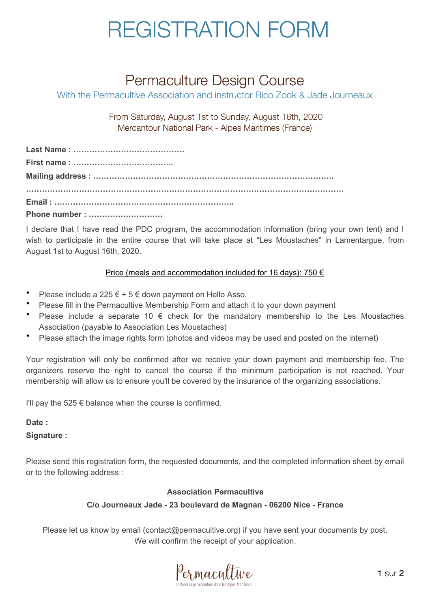### REGISTRATION FORM

### Permaculture Design Course

With the Permacultive Association and instructor Rico Zook & Jade Journeaux

From Saturday, August 1st to Sunday, August 16th, 2020 Mercantour National Park - Alpes Maritimes (France)

| Phone number : |
|----------------|

I declare that I have read the PDC program, the accommodation information (bring your own tent) and I wish to participate in the entire course that will take place at "Les Moustaches" in Lamentargue, from August 1st to August 16th, 2020.

#### Price (meals and accommodation included for 16 days): 750  $\epsilon$

- Please include a 225  $\epsilon$  + 5  $\epsilon$  down payment on Hello Asso.
- Please fill in the Permacultive Membership Form and attach it to your down payment
- Please include a separate 10  $\epsilon$  check for the mandatory membership to the Les Moustaches Association (payable to Association Les Moustaches)
- Please attach the image rights form (photos and videos may be used and posted on the internet)

Your registration will only be confirmed after we receive your down payment and membership fee. The organizers reserve the right to cancel the course if the minimum participation is not reached. Your membership will allow us to ensure you'll be covered by the insurance of the organizing associations.

I'll pay the 525  $\epsilon$  balance when the course is confirmed.

**Date :**

**Signature :**

Please send this registration form, the requested documents, and the completed information sheet by email or to the following address :

#### **Association Permacultive**

#### **C/o Journeaux Jade - 23 boulevard de Magnan - 06200 Nice - France**

Please let us know by email (contact@permacultive.org) if you have sent your documents by post. We will confirm the receipt of your application.

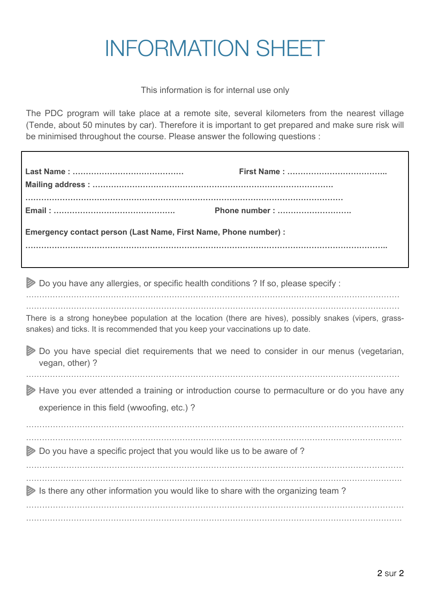# INFORMATION SHEET

This information is for internal use only

The PDC program will take place at a remote site, several kilometers from the nearest village (Tende, about 50 minutes by car). Therefore it is important to get prepared and make sure risk will be minimised throughout the course. Please answer the following questions :

|                                                                                       | First Name:                                                                                              |  |  |  |  |  |  |
|---------------------------------------------------------------------------------------|----------------------------------------------------------------------------------------------------------|--|--|--|--|--|--|
|                                                                                       | Phone number :                                                                                           |  |  |  |  |  |  |
| Emergency contact person (Last Name, First Name, Phone number) :                      |                                                                                                          |  |  |  |  |  |  |
|                                                                                       |                                                                                                          |  |  |  |  |  |  |
| Do you have any allergies, or specific health conditions ? If so, please specify :    |                                                                                                          |  |  |  |  |  |  |
| snakes) and ticks. It is recommended that you keep your vaccinations up to date.      | There is a strong honeybee population at the location (there are hives), possibly snakes (vipers, grass- |  |  |  |  |  |  |
| Ø<br>vegan, other) ?                                                                  | Do you have special diet requirements that we need to consider in our menus (vegetarian,                 |  |  |  |  |  |  |
|                                                                                       | A Have you ever attended a training or introduction course to permaculture or do you have any            |  |  |  |  |  |  |
| experience in this field (wwoofing, etc.)?                                            |                                                                                                          |  |  |  |  |  |  |
| <b>⊘</b> Do you have a specific project that you would like us to be aware of ?       |                                                                                                          |  |  |  |  |  |  |
|                                                                                       |                                                                                                          |  |  |  |  |  |  |
| Is there any other information you would like to share with the organizing team?<br>D |                                                                                                          |  |  |  |  |  |  |
|                                                                                       |                                                                                                          |  |  |  |  |  |  |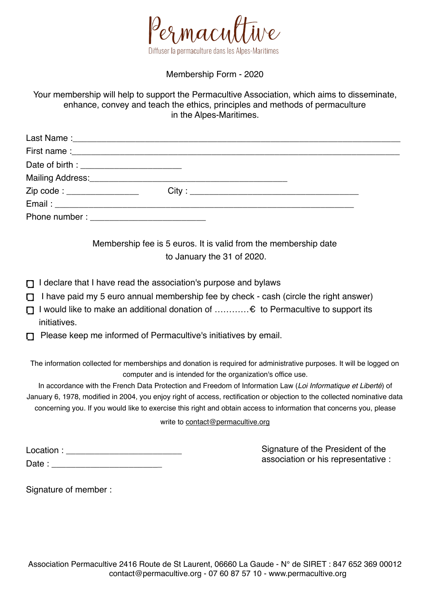

Membership Form - 2020

Your membership will help to support the Permacultive Association, which aims to disseminate, enhance, convey and teach the ethics, principles and methods of permaculture in the Alpes-Maritimes.

| Zip code : _________________ |  |  |
|------------------------------|--|--|
|                              |  |  |
|                              |  |  |

Membership fee is 5 euros. It is valid from the membership date to January the 31 of 2020.

- $\Box$  I declare that I have read the association's purpose and bylaws
- $\Box$  I have paid my 5 euro annual membership fee by check cash (circle the right answer)
- I would like to make an additional donation of …………€ to Permacultive to support its initiatives.
- Please keep me informed of Permacultive's initiatives by email.

The information collected for memberships and donation is required for administrative purposes. It will be logged on computer and is intended for the organization's office use.

In accordance with the French Data Protection and Freedom of Information Law (*Loi Informatique et Liberté*) of January 6, 1978, modified in 2004, you enjoy right of access, rectification or objection to the collected nominative data concerning you*.* If you would like to exercise this right and obtain access to information that concerns you, please

write to contact@permacultive.org

| Location: |  |  |  |
|-----------|--|--|--|
| Date:     |  |  |  |

Signature of the President of the association or his representative :

Signature of member :